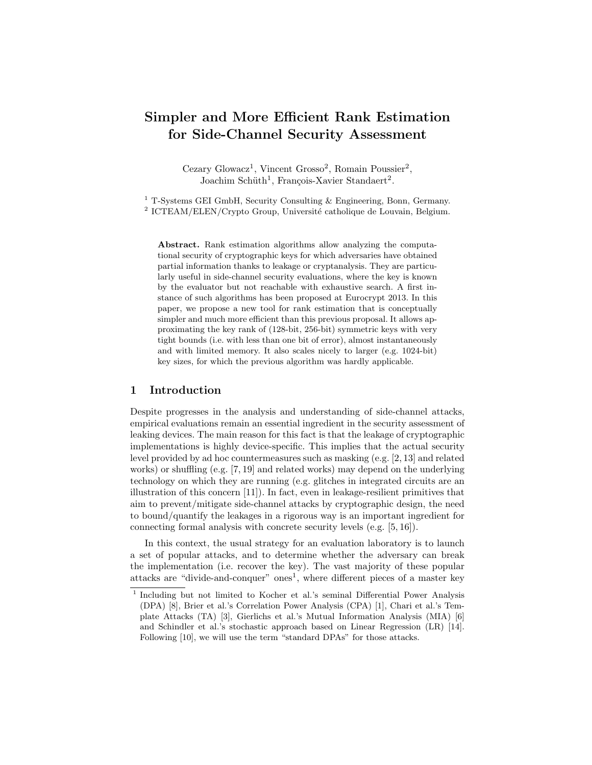# Simpler and More Efficient Rank Estimation for Side-Channel Security Assessment

Cezary Glowacz<sup>1</sup>, Vincent Grosso<sup>2</sup>, Romain Poussier<sup>2</sup>, Joachim Schüth<sup>1</sup>, François-Xavier Standaert<sup>2</sup>.

<sup>1</sup> T-Systems GEI GmbH, Security Consulting & Engineering, Bonn, Germany. <sup>2</sup> ICTEAM/ELEN/Crypto Group, Université catholique de Louvain, Belgium.

Abstract. Rank estimation algorithms allow analyzing the computational security of cryptographic keys for which adversaries have obtained partial information thanks to leakage or cryptanalysis. They are particularly useful in side-channel security evaluations, where the key is known by the evaluator but not reachable with exhaustive search. A first instance of such algorithms has been proposed at Eurocrypt 2013. In this paper, we propose a new tool for rank estimation that is conceptually simpler and much more efficient than this previous proposal. It allows approximating the key rank of (128-bit, 256-bit) symmetric keys with very tight bounds (i.e. with less than one bit of error), almost instantaneously and with limited memory. It also scales nicely to larger (e.g. 1024-bit) key sizes, for which the previous algorithm was hardly applicable.

# 1 Introduction

Despite progresses in the analysis and understanding of side-channel attacks, empirical evaluations remain an essential ingredient in the security assessment of leaking devices. The main reason for this fact is that the leakage of cryptographic implementations is highly device-specific. This implies that the actual security level provided by ad hoc countermeasures such as masking (e.g. [2, 13] and related works) or shuffling (e.g. [7, 19] and related works) may depend on the underlying technology on which they are running (e.g. glitches in integrated circuits are an illustration of this concern [11]). In fact, even in leakage-resilient primitives that aim to prevent/mitigate side-channel attacks by cryptographic design, the need to bound/quantify the leakages in a rigorous way is an important ingredient for connecting formal analysis with concrete security levels (e.g. [5, 16]).

In this context, the usual strategy for an evaluation laboratory is to launch a set of popular attacks, and to determine whether the adversary can break the implementation (i.e. recover the key). The vast majority of these popular attacks are "divide-and-conquer" ones<sup>1</sup>, where different pieces of a master key

<sup>&</sup>lt;sup>1</sup> Including but not limited to Kocher et al.'s seminal Differential Power Analysis (DPA) [8], Brier et al.'s Correlation Power Analysis (CPA) [1], Chari et al.'s Template Attacks (TA) [3], Gierlichs et al.'s Mutual Information Analysis (MIA) [6] and Schindler et al.'s stochastic approach based on Linear Regression (LR) [14]. Following [10], we will use the term "standard DPAs" for those attacks.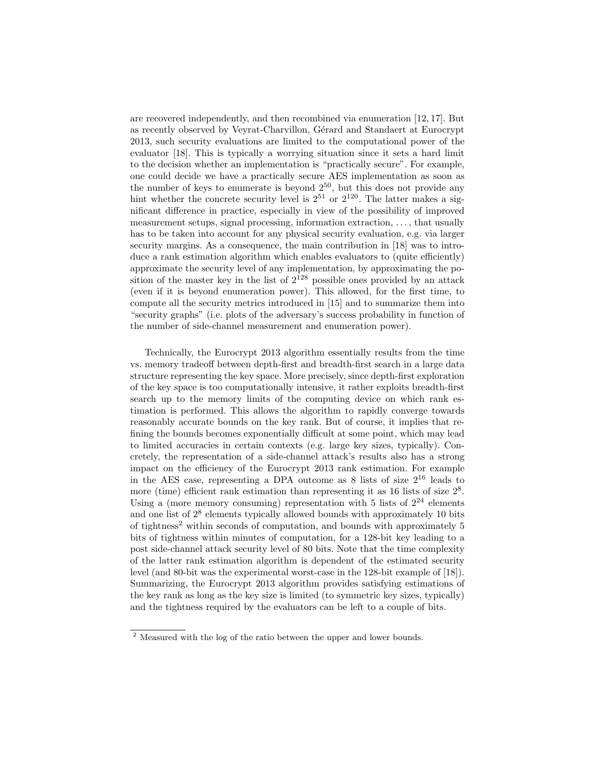are recovered independently, and then recombined via enumeration [12, 17]. But as recently observed by Veyrat-Charvillon, Gérard and Standaert at Eurocrypt 2013, such security evaluations are limited to the computational power of the evaluator [18]. This is typically a worrying situation since it sets a hard limit to the decision whether an implementation is "practically secure". For example, one could decide we have a practically secure AES implementation as soon as the number of keys to enumerate is beyond  $2^{50}$ , but this does not provide any hint whether the concrete security level is  $2^{51}$  or  $2^{120}$ . The latter makes a significant difference in practice, especially in view of the possibility of improved measurement setups, signal processing, information extraction, . . . , that usually has to be taken into account for any physical security evaluation, e.g. via larger security margins. As a consequence, the main contribution in [18] was to introduce a rank estimation algorithm which enables evaluators to (quite efficiently) approximate the security level of any implementation, by approximating the position of the master key in the list of  $2^{128}$  possible ones provided by an attack (even if it is beyond enumeration power). This allowed, for the first time, to compute all the security metrics introduced in [15] and to summarize them into "security graphs" (i.e. plots of the adversary's success probability in function of the number of side-channel measurement and enumeration power).

Technically, the Eurocrypt 2013 algorithm essentially results from the time vs. memory tradeoff between depth-first and breadth-first search in a large data structure representing the key space. More precisely, since depth-first exploration of the key space is too computationally intensive, it rather exploits breadth-first search up to the memory limits of the computing device on which rank estimation is performed. This allows the algorithm to rapidly converge towards reasonably accurate bounds on the key rank. But of course, it implies that refining the bounds becomes exponentially difficult at some point, which may lead to limited accuracies in certain contexts (e.g. large key sizes, typically). Concretely, the representation of a side-channel attack's results also has a strong impact on the efficiency of the Eurocrypt 2013 rank estimation. For example in the AES case, representing a DPA outcome as 8 lists of size 2<sup>16</sup> leads to more (time) efficient rank estimation than representing it as 16 lists of size  $2^8$ . Using a (more memory consuming) representation with 5 lists of  $2^{24}$  elements and one list of  $2^8$  elements typically allowed bounds with approximately 10 bits of tightness<sup>2</sup> within seconds of computation, and bounds with approximately 5 bits of tightness within minutes of computation, for a 128-bit key leading to a post side-channel attack security level of 80 bits. Note that the time complexity of the latter rank estimation algorithm is dependent of the estimated security level (and 80-bit was the experimental worst-case in the 128-bit example of [18]). Summarizing, the Eurocrypt 2013 algorithm provides satisfying estimations of the key rank as long as the key size is limited (to symmetric key sizes, typically) and the tightness required by the evaluators can be left to a couple of bits.

<sup>&</sup>lt;sup>2</sup> Measured with the log of the ratio between the upper and lower bounds.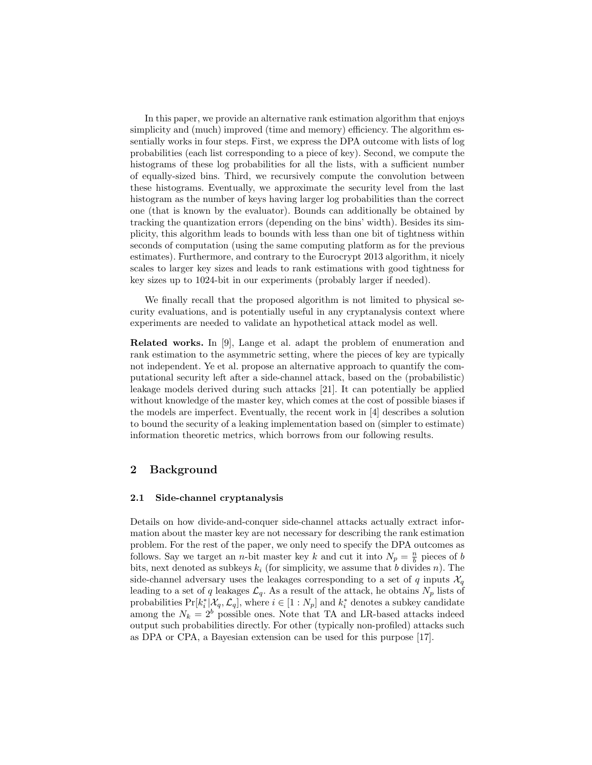In this paper, we provide an alternative rank estimation algorithm that enjoys simplicity and (much) improved (time and memory) efficiency. The algorithm essentially works in four steps. First, we express the DPA outcome with lists of log probabilities (each list corresponding to a piece of key). Second, we compute the histograms of these log probabilities for all the lists, with a sufficient number of equally-sized bins. Third, we recursively compute the convolution between these histograms. Eventually, we approximate the security level from the last histogram as the number of keys having larger log probabilities than the correct one (that is known by the evaluator). Bounds can additionally be obtained by tracking the quantization errors (depending on the bins' width). Besides its simplicity, this algorithm leads to bounds with less than one bit of tightness within seconds of computation (using the same computing platform as for the previous estimates). Furthermore, and contrary to the Eurocrypt 2013 algorithm, it nicely scales to larger key sizes and leads to rank estimations with good tightness for key sizes up to 1024-bit in our experiments (probably larger if needed).

We finally recall that the proposed algorithm is not limited to physical security evaluations, and is potentially useful in any cryptanalysis context where experiments are needed to validate an hypothetical attack model as well.

Related works. In [9], Lange et al. adapt the problem of enumeration and rank estimation to the asymmetric setting, where the pieces of key are typically not independent. Ye et al. propose an alternative approach to quantify the computational security left after a side-channel attack, based on the (probabilistic) leakage models derived during such attacks [21]. It can potentially be applied without knowledge of the master key, which comes at the cost of possible biases if the models are imperfect. Eventually, the recent work in [4] describes a solution to bound the security of a leaking implementation based on (simpler to estimate) information theoretic metrics, which borrows from our following results.

# 2 Background

#### 2.1 Side-channel cryptanalysis

Details on how divide-and-conquer side-channel attacks actually extract information about the master key are not necessary for describing the rank estimation problem. For the rest of the paper, we only need to specify the DPA outcomes as follows. Say we target an *n*-bit master key k and cut it into  $N_p = \frac{n}{b}$  pieces of b bits, next denoted as subkeys  $k_i$  (for simplicity, we assume that b divides n). The side-channel adversary uses the leakages corresponding to a set of q inputs  $\mathcal{X}_q$ leading to a set of q leakages  $\mathcal{L}_q$ . As a result of the attack, he obtains  $N_p$  lists of probabilities  $Pr[k_i^*|\mathcal{X}_q, \mathcal{L}_q]$ , where  $i \in [1:N_p]$  and  $k_i^*$  denotes a subkey candidate among the  $N_k = 2^b$  possible ones. Note that TA and LR-based attacks indeed output such probabilities directly. For other (typically non-profiled) attacks such as DPA or CPA, a Bayesian extension can be used for this purpose [17].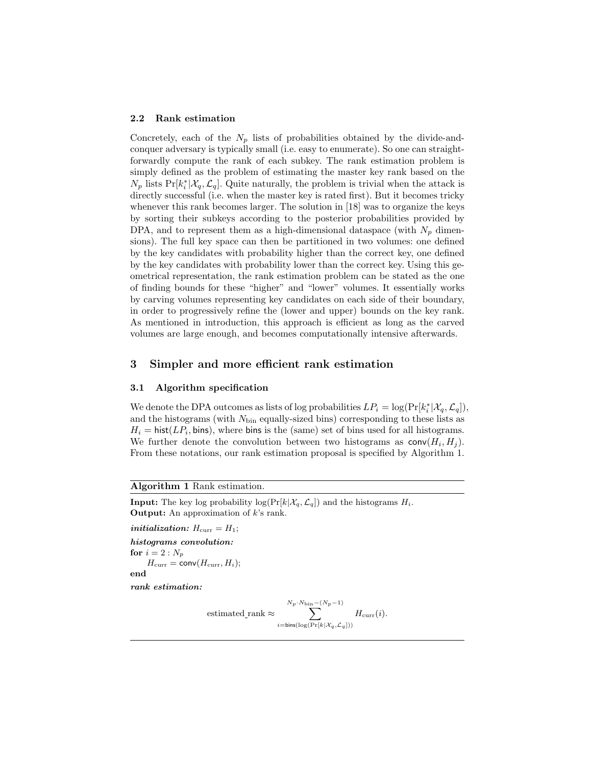#### 2.2 Rank estimation

Concretely, each of the  $N_p$  lists of probabilities obtained by the divide-andconquer adversary is typically small (i.e. easy to enumerate). So one can straightforwardly compute the rank of each subkey. The rank estimation problem is simply defined as the problem of estimating the master key rank based on the  $N_p$  lists Pr[ $k_i^*$ | $\mathcal{X}_q$ ,  $\mathcal{L}_q$ ]. Quite naturally, the problem is trivial when the attack is directly successful (i.e. when the master key is rated first). But it becomes tricky whenever this rank becomes larger. The solution in [18] was to organize the keys by sorting their subkeys according to the posterior probabilities provided by DPA, and to represent them as a high-dimensional dataspace (with  $N_p$  dimensions). The full key space can then be partitioned in two volumes: one defined by the key candidates with probability higher than the correct key, one defined by the key candidates with probability lower than the correct key. Using this geometrical representation, the rank estimation problem can be stated as the one of finding bounds for these "higher" and "lower" volumes. It essentially works by carving volumes representing key candidates on each side of their boundary, in order to progressively refine the (lower and upper) bounds on the key rank. As mentioned in introduction, this approach is efficient as long as the carved volumes are large enough, and becomes computationally intensive afterwards.

#### 3 Simpler and more efficient rank estimation

#### 3.1 Algorithm specification

We denote the DPA outcomes as lists of log probabilities  $LP_i = \log(\Pr[k_i^*|\mathcal{X}_q, \mathcal{L}_q]),$ and the histograms (with  $N_{\text{bin}}$  equally-sized bins) corresponding to these lists as  $H_i = \text{hist}(LP_i, \text{bins})$ , where bins is the (same) set of bins used for all histograms. We further denote the convolution between two histograms as  $\mathsf{conv}(H_i, H_j)$ . From these notations, our rank estimation proposal is specified by Algorithm 1.

Algorithm 1 Rank estimation.

**Input:** The key log probability  $\log(\Pr[k|\mathcal{X}_q, \mathcal{L}_q])$  and the histograms  $H_i$ . **Output:** An approximation of  $k$ 's rank.

*initialization:*  $H_{\text{curr}} = H_1$ ;

histograms convolution: for  $i = 2 : N_p$ 

 $H_{\text{curr}} = \text{conv}(H_{\text{curr}}, H_i);$ 

end

rank estimation:

$$
\text{estimated\_rank} \approx \sum_{i=\text{bins}(\log(\Pr[k|\mathcal{X}_q, \mathcal{L}_q]))}^{N_p \cdot N_{\text{bin}}-(N_p-1)} H_{\text{curr}}(i).
$$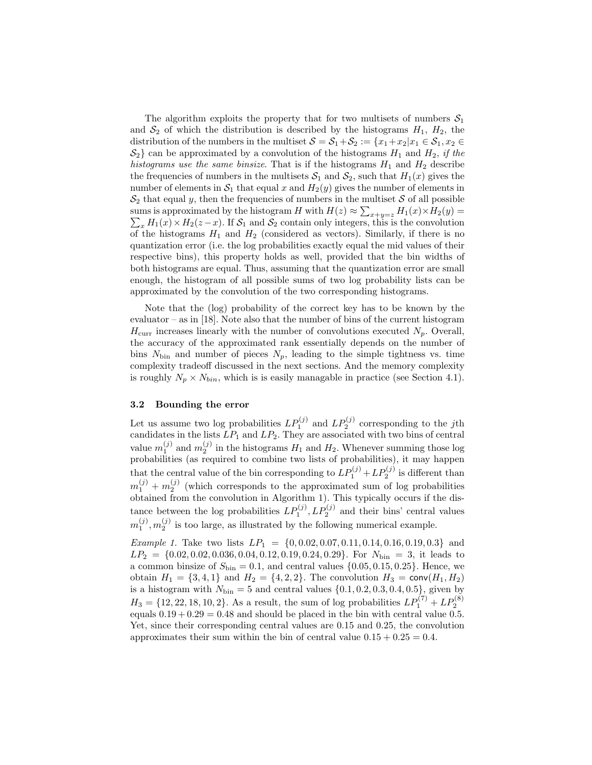The algorithm exploits the property that for two multisets of numbers  $S_1$ and  $S_2$  of which the distribution is described by the histograms  $H_1$ ,  $H_2$ , the distribution of the numbers in the multiset  $S = S_1 + S_2 := \{x_1 + x_2 | x_1 \in S_1, x_2 \in$  $S_2$  can be approximated by a convolution of the histograms  $H_1$  and  $H_2$ , if the histograms use the same binsize. That is if the histograms  $H_1$  and  $H_2$  describe the frequencies of numbers in the multisets  $S_1$  and  $S_2$ , such that  $H_1(x)$  gives the number of elements in  $S_1$  that equal x and  $H_2(y)$  gives the number of elements in  $S_2$  that equal y, then the frequencies of numbers in the multiset S of all possible sums is approximated by the histogram H with  $H(z) \approx \sum_{x+y=z} H_1(x) \times H_2(y) = \sum_x H_1(x) \times H_2(z-x)$ . If  $S_1$  and  $S_2$  contain only integers, this is the convolution  $\sum_{x} H_1(x) \times H_2(z-x)$ . If  $S_1$  and  $S_2$  contain only integers, this is the convolution of the histograms  $H_1$  and  $H_2$  (considered as vectors). Similarly, if there is no quantization error (i.e. the log probabilities exactly equal the mid values of their respective bins), this property holds as well, provided that the bin widths of both histograms are equal. Thus, assuming that the quantization error are small enough, the histogram of all possible sums of two log probability lists can be approximated by the convolution of the two corresponding histograms.

Note that the (log) probability of the correct key has to be known by the evaluator – as in [18]. Note also that the number of bins of the current histogram  $H_{\text{curr}}$  increases linearly with the number of convolutions executed  $N_p$ . Overall, the accuracy of the approximated rank essentially depends on the number of bins  $N_{\text{bin}}$  and number of pieces  $N_p$ , leading to the simple tightness vs. time complexity tradeoff discussed in the next sections. And the memory complexity is roughly  $N_p \times N_{bin}$ , which is is easily managable in practice (see Section 4.1).

### 3.2 Bounding the error

Let us assume two log probabilities  $LP_1^{(j)}$  and  $LP_2^{(j)}$  corresponding to the jth candidates in the lists  $LP_1$  and  $LP_2$ . They are associated with two bins of central value  $m_1^{(j)}$  and  $m_2^{(j)}$  in the histograms  $H_1$  and  $H_2$ . Whenever summing those log probabilities (as required to combine two lists of probabilities), it may happen that the central value of the bin corresponding to  $LP_1^{(j)} + LP_2^{(j)}$  is different than  $m_1^{(j)} + m_2^{(j)}$  (which corresponds to the approximated sum of log probabilities obtained from the convolution in Algorithm 1). This typically occurs if the distance between the log probabilities  $LP_1^{(j)}$ ,  $LP_2^{(j)}$  and their bins' central values  $m_1^{(j)}, m_2^{(j)}$  is too large, as illustrated by the following numerical example.

*Example 1.* Take two lists  $LP_1 = \{0, 0.02, 0.07, 0.11, 0.14, 0.16, 0.19, 0.3\}$  and  $LP_2 = \{0.02, 0.02, 0.036, 0.04, 0.12, 0.19, 0.24, 0.29\}$ . For  $N_{\text{bin}} = 3$ , it leads to a common binsize of  $S_{\text{bin}} = 0.1$ , and central values  $\{0.05, 0.15, 0.25\}$ . Hence, we obtain  $H_1 = \{3, 4, 1\}$  and  $H_2 = \{4, 2, 2\}$ . The convolution  $H_3 = \text{conv}(H_1, H_2)$ is a histogram with  $N_{\text{bin}} = 5$  and central values  $\{0.1, 0.2, 0.3, 0.4, 0.5\}$ , given by  $H_3 = \{12, 22, 18, 10, 2\}$ . As a result, the sum of log probabilities  $LP_1^{(7)} + LP_2^{(8)}$ equals  $0.19 + 0.29 = 0.48$  and should be placed in the bin with central value 0.5. Yet, since their corresponding central values are 0.15 and 0.25, the convolution approximates their sum within the bin of central value  $0.15 + 0.25 = 0.4$ .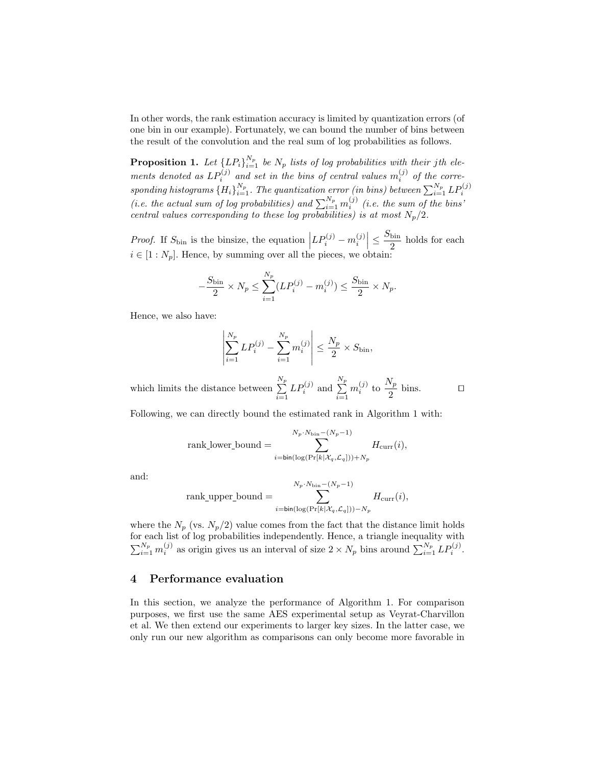In other words, the rank estimation accuracy is limited by quantization errors (of one bin in our example). Fortunately, we can bound the number of bins between the result of the convolution and the real sum of log probabilities as follows.

**Proposition 1.** Let  ${LP<sub>i</sub>}_{i=1}^{N_p}$  be  $N_p$  lists of log probabilities with their jth elements denoted as  $LP_i^{(j)}$  and set in the bins of central values  $m_i^{(j)}$  of the corresponding histograms  $\{H_i\}_{i=1}^{N_p}$ . The quantization error (in bins) between  $\sum_{i=1}^{N_p} LP_i^{(j)}$ <br>(i.e. the actual sum of log probabilities) and  $\sum_{i=1}^{N_p} m_i^{(j)}$  (i.e. the sum of the bins' central values corresponding to these log probabilities) is at most  $N_p/2$ .

*Proof.* If  $S_{\text{bin}}$  is the binsize, the equation  $\left| LP_i^{(j)} - m_i^{(j)} \right| \leq \frac{S_{\text{bin}}}{2}$  $\frac{\text{sin}}{2}$  holds for each  $i \in [1:N_p]$ . Hence, by summing over all the pieces, we obtain:

$$
-\frac{S_{\text{bin}}}{2} \times N_p \le \sum_{i=1}^{N_p} (LP_i^{(j)} - m_i^{(j)}) \le \frac{S_{\text{bin}}}{2} \times N_p.
$$

Hence, we also have:

$$
\left| \sum_{i=1}^{N_p} LP_i^{(j)} - \sum_{i=1}^{N_p} m_i^{(j)} \right| \le \frac{N_p}{2} \times S_{\text{bin}},
$$

which limits the distance between  $\sum_{n=1}^{N_p}$  $i=1$  $LP_i^{(j)}$  and  $\sum^{N_p}$  $i=1$  $m_i^{(j)}$  to  $\frac{N_p}{2}$  $\frac{p}{2}$  bins.  $\Box$ 

Following, we can directly bound the estimated rank in Algorithm 1 with:

$$
\text{rank\_lower\_bound} = \sum_{i = \text{bin}(\log(\Pr[k|\mathcal{X}_q, \mathcal{L}_q])) + N_p}^{N_p \cdot N_{\text{bin}} - (N_p - 1)} H_{\text{curr}}(i),
$$

and:

$$
\text{rank\_upper\_bound} = \sum_{i=\text{bin}(\log(\Pr[k|\mathcal{X}_q, \mathcal{L}_q])) - N_p}^{N_p \cdot N_{\text{bin}} - (N_p - 1)} H_{\text{curr}}(i),
$$

where the  $N_p$  (vs.  $N_p/2$ ) value comes from the fact that the distance limit holds for each list of log probabilities independently. Hence, a triangle inequality with  $\sum_{i=1}^{N_p} m_i^{(j)}$  as origin gives us an interval of size  $2 \times N_p$  bins around  $\sum_{i=1}^{N_p} LP_i^{(j)}$ .

#### 4 Performance evaluation

In this section, we analyze the performance of Algorithm 1. For comparison purposes, we first use the same AES experimental setup as Veyrat-Charvillon et al. We then extend our experiments to larger key sizes. In the latter case, we only run our new algorithm as comparisons can only become more favorable in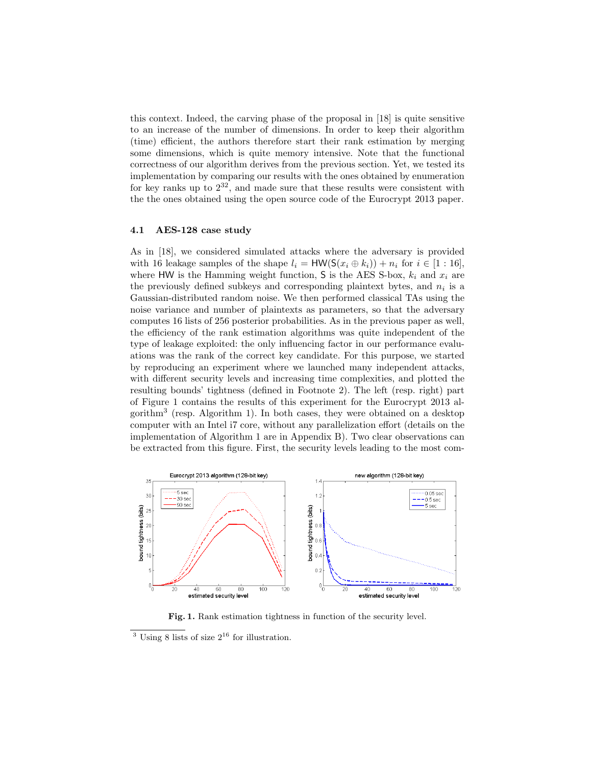this context. Indeed, the carving phase of the proposal in [18] is quite sensitive to an increase of the number of dimensions. In order to keep their algorithm (time) efficient, the authors therefore start their rank estimation by merging some dimensions, which is quite memory intensive. Note that the functional correctness of our algorithm derives from the previous section. Yet, we tested its implementation by comparing our results with the ones obtained by enumeration for key ranks up to  $2^{32}$ , and made sure that these results were consistent with the the ones obtained using the open source code of the Eurocrypt 2013 paper.

#### 4.1 AES-128 case study

As in [18], we considered simulated attacks where the adversary is provided with 16 leakage samples of the shape  $l_i = HW(S(x_i \oplus k_i)) + n_i$  for  $i \in [1:16]$ , where HW is the Hamming weight function, S is the AES S-box,  $k_i$  and  $x_i$  are the previously defined subkeys and corresponding plaintext bytes, and  $n_i$  is a Gaussian-distributed random noise. We then performed classical TAs using the noise variance and number of plaintexts as parameters, so that the adversary computes 16 lists of 256 posterior probabilities. As in the previous paper as well, the efficiency of the rank estimation algorithms was quite independent of the type of leakage exploited: the only influencing factor in our performance evaluations was the rank of the correct key candidate. For this purpose, we started by reproducing an experiment where we launched many independent attacks, with different security levels and increasing time complexities, and plotted the resulting bounds' tightness (defined in Footnote 2). The left (resp. right) part of Figure 1 contains the results of this experiment for the Eurocrypt 2013 algorithm<sup>3</sup> (resp. Algorithm 1). In both cases, they were obtained on a desktop computer with an Intel i7 core, without any parallelization effort (details on the implementation of Algorithm 1 are in Appendix B). Two clear observations can be extracted from this figure. First, the security levels leading to the most com-



Fig. 1. Rank estimation tightness in function of the security level.

<sup>&</sup>lt;sup>3</sup> Using 8 lists of size  $2^{16}$  for illustration.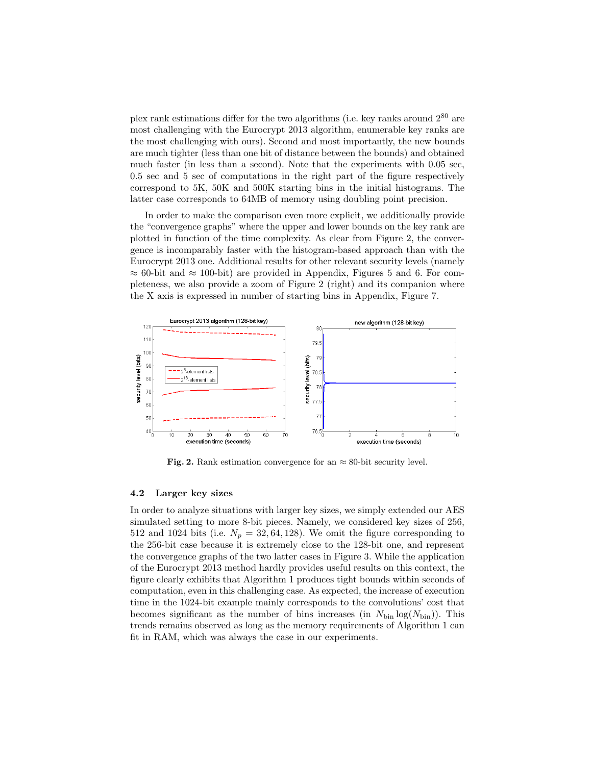plex rank estimations differ for the two algorithms (i.e. key ranks around  $2^{80}$  are most challenging with the Eurocrypt 2013 algorithm, enumerable key ranks are the most challenging with ours). Second and most importantly, the new bounds are much tighter (less than one bit of distance between the bounds) and obtained much faster (in less than a second). Note that the experiments with 0.05 sec, 0.5 sec and 5 sec of computations in the right part of the figure respectively correspond to 5K, 50K and 500K starting bins in the initial histograms. The latter case corresponds to 64MB of memory using doubling point precision.

In order to make the comparison even more explicit, we additionally provide the "convergence graphs" where the upper and lower bounds on the key rank are plotted in function of the time complexity. As clear from Figure 2, the convergence is incomparably faster with the histogram-based approach than with the Eurocrypt 2013 one. Additional results for other relevant security levels (namely  $\approx 60$ -bit and  $\approx 100$ -bit) are provided in Appendix, Figures 5 and 6. For completeness, we also provide a zoom of Figure 2 (right) and its companion where the X axis is expressed in number of starting bins in Appendix, Figure 7.



Fig. 2. Rank estimation convergence for an  $\approx 80$ -bit security level.

#### 4.2 Larger key sizes

In order to analyze situations with larger key sizes, we simply extended our AES simulated setting to more 8-bit pieces. Namely, we considered key sizes of 256, 512 and 1024 bits (i.e.  $N_p = 32, 64, 128$ ). We omit the figure corresponding to the 256-bit case because it is extremely close to the 128-bit one, and represent the convergence graphs of the two latter cases in Figure 3. While the application of the Eurocrypt 2013 method hardly provides useful results on this context, the figure clearly exhibits that Algorithm 1 produces tight bounds within seconds of computation, even in this challenging case. As expected, the increase of execution time in the 1024-bit example mainly corresponds to the convolutions' cost that becomes significant as the number of bins increases (in  $N_{\text{bin}} \log(N_{\text{bin}})$ ). This trends remains observed as long as the memory requirements of Algorithm 1 can fit in RAM, which was always the case in our experiments.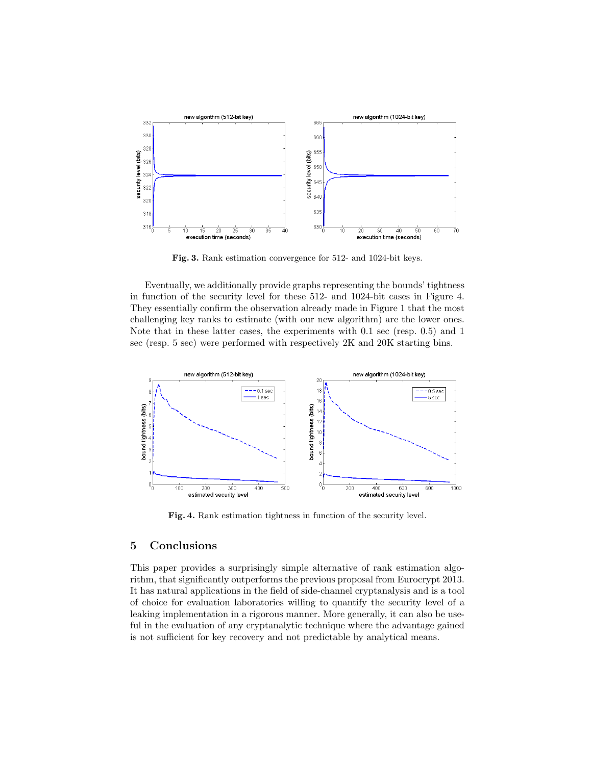

Fig. 3. Rank estimation convergence for 512- and 1024-bit keys.

Eventually, we additionally provide graphs representing the bounds' tightness in function of the security level for these 512- and 1024-bit cases in Figure 4. They essentially confirm the observation already made in Figure 1 that the most challenging key ranks to estimate (with our new algorithm) are the lower ones. Note that in these latter cases, the experiments with 0.1 sec (resp. 0.5) and 1 sec (resp. 5 sec) were performed with respectively 2K and 20K starting bins.



Fig. 4. Rank estimation tightness in function of the security level.

### 5 Conclusions

This paper provides a surprisingly simple alternative of rank estimation algorithm, that significantly outperforms the previous proposal from Eurocrypt 2013. It has natural applications in the field of side-channel cryptanalysis and is a tool of choice for evaluation laboratories willing to quantify the security level of a leaking implementation in a rigorous manner. More generally, it can also be useful in the evaluation of any cryptanalytic technique where the advantage gained is not sufficient for key recovery and not predictable by analytical means.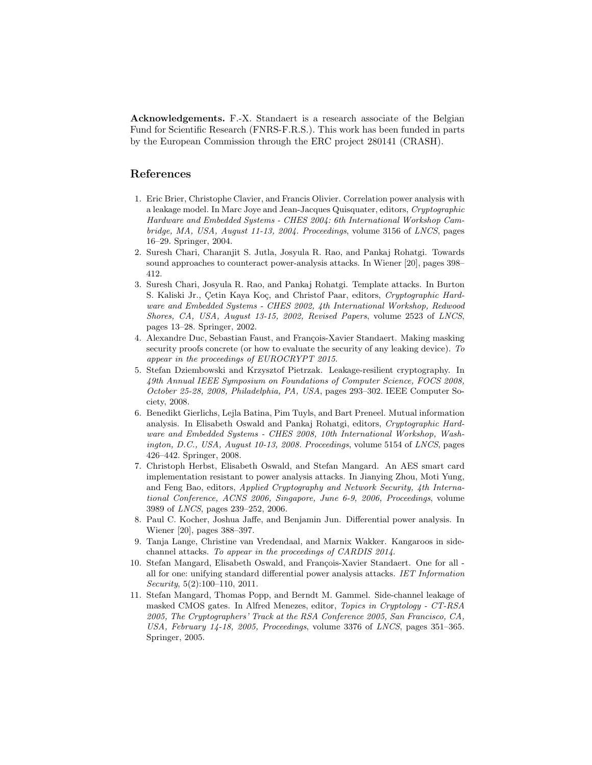Acknowledgements. F.-X. Standaert is a research associate of the Belgian Fund for Scientific Research (FNRS-F.R.S.). This work has been funded in parts by the European Commission through the ERC project 280141 (CRASH).

# References

- 1. Eric Brier, Christophe Clavier, and Francis Olivier. Correlation power analysis with a leakage model. In Marc Joye and Jean-Jacques Quisquater, editors, Cryptographic Hardware and Embedded Systems - CHES 2004: 6th International Workshop Cambridge, MA, USA, August 11-13, 2004. Proceedings, volume 3156 of LNCS, pages 16–29. Springer, 2004.
- 2. Suresh Chari, Charanjit S. Jutla, Josyula R. Rao, and Pankaj Rohatgi. Towards sound approaches to counteract power-analysis attacks. In Wiener [20], pages 398– 412.
- 3. Suresh Chari, Josyula R. Rao, and Pankaj Rohatgi. Template attacks. In Burton S. Kaliski Jr., Çetin Kaya Koç, and Christof Paar, editors, Cryptographic Hardware and Embedded Systems - CHES 2002, 4th International Workshop, Redwood Shores, CA, USA, August 13-15, 2002, Revised Papers, volume 2523 of LNCS, pages 13–28. Springer, 2002.
- 4. Alexandre Duc, Sebastian Faust, and François-Xavier Standaert. Making masking security proofs concrete (or how to evaluate the security of any leaking device). To appear in the proceedings of EUROCRYPT 2015.
- 5. Stefan Dziembowski and Krzysztof Pietrzak. Leakage-resilient cryptography. In 49th Annual IEEE Symposium on Foundations of Computer Science, FOCS 2008, October 25-28, 2008, Philadelphia, PA, USA, pages 293–302. IEEE Computer Society, 2008.
- 6. Benedikt Gierlichs, Lejla Batina, Pim Tuyls, and Bart Preneel. Mutual information analysis. In Elisabeth Oswald and Pankaj Rohatgi, editors, Cryptographic Hardware and Embedded Systems - CHES 2008, 10th International Workshop, Washington, D.C., USA, August 10-13, 2008. Proceedings, volume 5154 of LNCS, pages 426–442. Springer, 2008.
- 7. Christoph Herbst, Elisabeth Oswald, and Stefan Mangard. An AES smart card implementation resistant to power analysis attacks. In Jianying Zhou, Moti Yung, and Feng Bao, editors, Applied Cryptography and Network Security, 4th International Conference, ACNS 2006, Singapore, June 6-9, 2006, Proceedings, volume 3989 of LNCS, pages 239–252, 2006.
- 8. Paul C. Kocher, Joshua Jaffe, and Benjamin Jun. Differential power analysis. In Wiener [20], pages 388–397.
- 9. Tanja Lange, Christine van Vredendaal, and Marnix Wakker. Kangaroos in sidechannel attacks. To appear in the proceedings of CARDIS 2014.
- 10. Stefan Mangard, Elisabeth Oswald, and François-Xavier Standaert. One for all all for one: unifying standard differential power analysis attacks. IET Information Security, 5(2):100–110, 2011.
- 11. Stefan Mangard, Thomas Popp, and Berndt M. Gammel. Side-channel leakage of masked CMOS gates. In Alfred Menezes, editor, Topics in Cryptology - CT-RSA 2005, The Cryptographers' Track at the RSA Conference 2005, San Francisco, CA, USA, February 14-18, 2005, Proceedings, volume 3376 of LNCS, pages 351-365. Springer, 2005.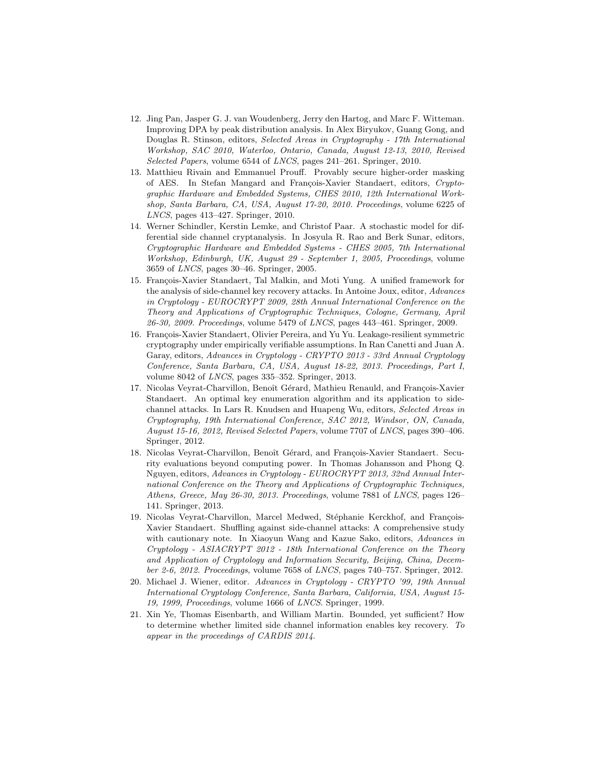- 12. Jing Pan, Jasper G. J. van Woudenberg, Jerry den Hartog, and Marc F. Witteman. Improving DPA by peak distribution analysis. In Alex Biryukov, Guang Gong, and Douglas R. Stinson, editors, Selected Areas in Cryptography - 17th International Workshop, SAC 2010, Waterloo, Ontario, Canada, August 12-13, 2010, Revised Selected Papers, volume 6544 of LNCS, pages 241–261. Springer, 2010.
- 13. Matthieu Rivain and Emmanuel Prouff. Provably secure higher-order masking of AES. In Stefan Mangard and François-Xavier Standaert, editors, Cryptographic Hardware and Embedded Systems, CHES 2010, 12th International Workshop, Santa Barbara, CA, USA, August 17-20, 2010. Proceedings, volume 6225 of LNCS, pages 413–427. Springer, 2010.
- 14. Werner Schindler, Kerstin Lemke, and Christof Paar. A stochastic model for differential side channel cryptanalysis. In Josyula R. Rao and Berk Sunar, editors, Cryptographic Hardware and Embedded Systems - CHES 2005, 7th International Workshop, Edinburgh, UK, August 29 - September 1, 2005, Proceedings, volume 3659 of LNCS, pages 30–46. Springer, 2005.
- 15. François-Xavier Standaert, Tal Malkin, and Moti Yung. A unified framework for the analysis of side-channel key recovery attacks. In Antoine Joux, editor, Advances in Cryptology - EUROCRYPT 2009, 28th Annual International Conference on the Theory and Applications of Cryptographic Techniques, Cologne, Germany, April 26-30, 2009. Proceedings, volume 5479 of LNCS, pages 443–461. Springer, 2009.
- 16. François-Xavier Standaert, Olivier Pereira, and Yu Yu. Leakage-resilient symmetric cryptography under empirically verifiable assumptions. In Ran Canetti and Juan A. Garay, editors, Advances in Cryptology - CRYPTO 2013 - 33rd Annual Cryptology Conference, Santa Barbara, CA, USA, August 18-22, 2013. Proceedings, Part I, volume 8042 of LNCS, pages 335–352. Springer, 2013.
- 17. Nicolas Veyrat-Charvillon, Benoît Gérard, Mathieu Renauld, and François-Xavier Standaert. An optimal key enumeration algorithm and its application to sidechannel attacks. In Lars R. Knudsen and Huapeng Wu, editors, Selected Areas in Cryptography, 19th International Conference, SAC 2012, Windsor, ON, Canada, August 15-16, 2012, Revised Selected Papers, volume 7707 of LNCS, pages 390–406. Springer, 2012.
- 18. Nicolas Veyrat-Charvillon, Benoît Gérard, and François-Xavier Standaert. Security evaluations beyond computing power. In Thomas Johansson and Phong Q. Nguyen, editors, Advances in Cryptology - EUROCRYPT 2013, 32nd Annual International Conference on the Theory and Applications of Cryptographic Techniques, Athens, Greece, May 26-30, 2013. Proceedings, volume 7881 of LNCS, pages 126– 141. Springer, 2013.
- 19. Nicolas Veyrat-Charvillon, Marcel Medwed, Stéphanie Kerckhof, and François-Xavier Standaert. Shuffling against side-channel attacks: A comprehensive study with cautionary note. In Xiaoyun Wang and Kazue Sako, editors, Advances in Cryptology - ASIACRYPT 2012 - 18th International Conference on the Theory and Application of Cryptology and Information Security, Beijing, China, December 2-6, 2012. Proceedings, volume 7658 of LNCS, pages 740–757. Springer, 2012.
- 20. Michael J. Wiener, editor. Advances in Cryptology CRYPTO '99, 19th Annual International Cryptology Conference, Santa Barbara, California, USA, August 15- 19, 1999, Proceedings, volume 1666 of LNCS. Springer, 1999.
- 21. Xin Ye, Thomas Eisenbarth, and William Martin. Bounded, yet sufficient? How to determine whether limited side channel information enables key recovery. To appear in the proceedings of CARDIS 2014.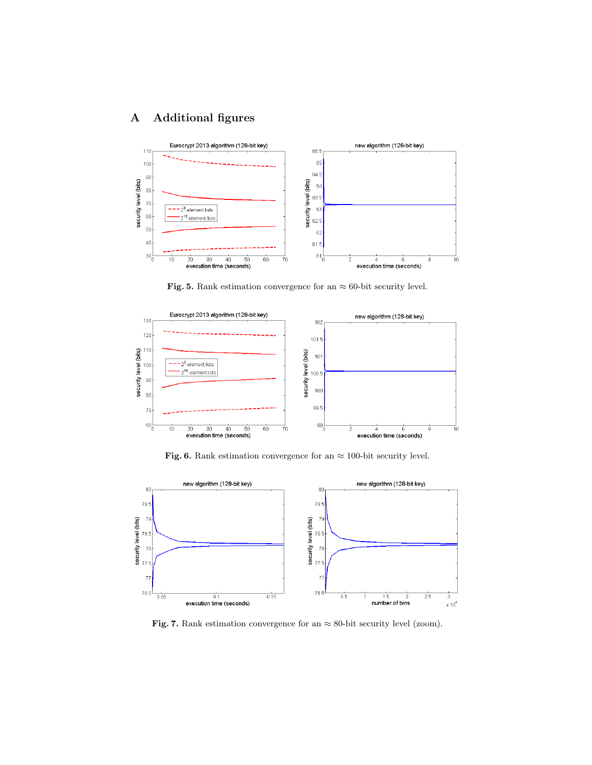# A Additional figures



Fig. 5. Rank estimation convergence for an  $\approx 60$ -bit security level.



Fig. 6. Rank estimation convergence for an  $\approx 100\mbox{-}$  bit security level.



Fig. 7. Rank estimation convergence for an  $\approx$  80-bit security level (zoom).